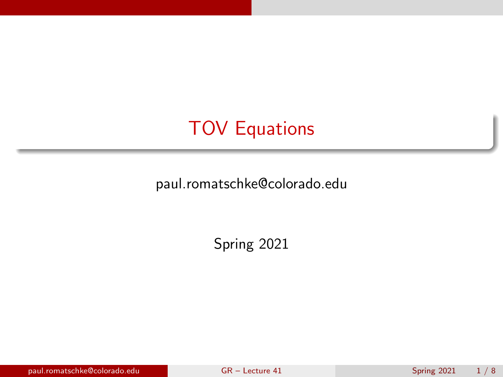# <span id="page-0-0"></span>TOV Equations

paul.romatschke@colorado.edu

Spring 2021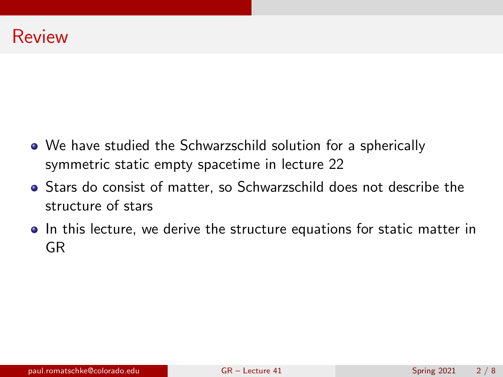- We have studied the Schwarzschild solution for a spherically symmetric static empty spacetime in lecture 22
- Stars do consist of matter, so Schwarzschild does not describe the structure of stars
- In this lecture, we derive the structure equations for static matter in GR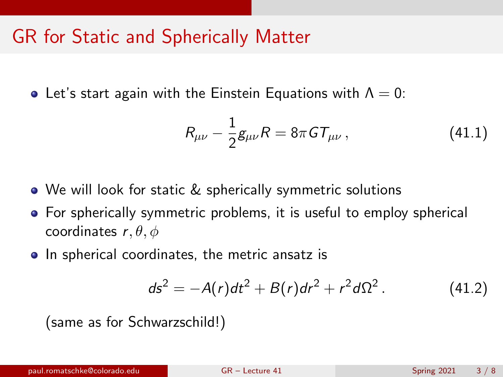### GR for Static and Spherically Matter

• Let's start again with the Einstein Equations with  $\Lambda = 0$ :

<span id="page-2-0"></span>
$$
R_{\mu\nu} - \frac{1}{2}g_{\mu\nu}R = 8\pi G T_{\mu\nu},
$$
 (41.1)

- We will look for static & spherically symmetric solutions
- For spherically symmetric problems, it is useful to employ spherical coordinates  $r, \theta, \phi$
- In spherical coordinates, the metric ansatz is

$$
ds^{2} = -A(r)dt^{2} + B(r)dr^{2} + r^{2}d\Omega^{2}. \qquad (41.2)
$$

(same as for Schwarzschild!)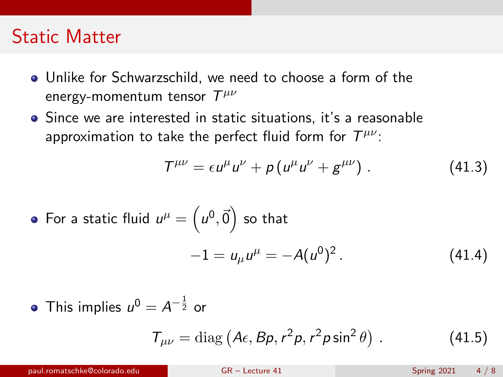#### Static Matter

- Unlike for Schwarzschild, we need to choose a form of the energy-momentum tensor  $\mathcal{T}^{\mu\nu}$
- Since we are interested in static situations, it's a reasonable approximation to take the perfect fluid form for  $\mathcal{T}^{\mu\nu}$ :

$$
T^{\mu\nu} = \epsilon u^{\mu} u^{\nu} + p \left( u^{\mu} u^{\nu} + g^{\mu \nu} \right). \qquad (41.3)
$$

• For a static fluid 
$$
u^{\mu} = (u^0, \vec{0})
$$
 so that  
\n
$$
-1 = u_{\mu}u^{\mu} = -A(u^0)^2.
$$
\n(41.4)

This implies  $u^0=A^{-\frac{1}{2}}$  or

$$
T_{\mu\nu} = \text{diag}\left(A\epsilon, B\rho, r^2\rho, r^2\rho\sin^2\theta\right). \tag{41.5}
$$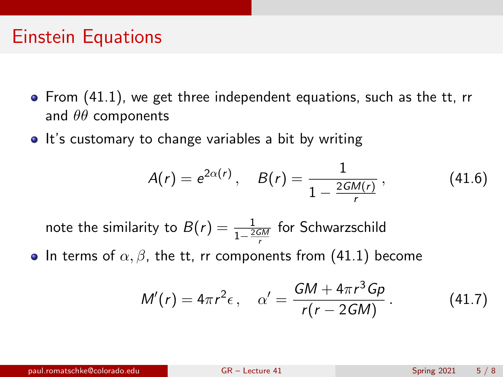### Einstein Equations

- From [\(41.1\)](#page-2-0), we get three independent equations, such as the tt, rr and  $\theta\theta$  components
- It's customary to change variables a bit by writing

$$
A(r) = e^{2\alpha(r)}, \quad B(r) = \frac{1}{1 - \frac{2GM(r)}{r}}, \quad (41.6)
$$

note the similarity to  $B(r)=\frac{1}{1-\frac{2GM}{r}}$  for Schwarzschild

• In terms of  $\alpha$ ,  $\beta$ , the tt, rr components from [\(41.1\)](#page-2-0) become

$$
M'(r) = 4\pi r^2 \epsilon, \quad \alpha' = \frac{GM + 4\pi r^3 G\rho}{r(r - 2GM)}.
$$
 (41.7)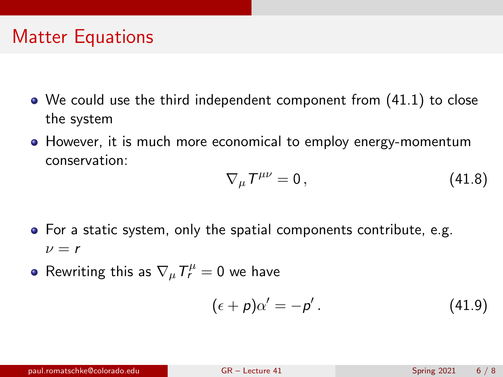## Matter Equations

- We could use the third independent component from [\(41.1\)](#page-2-0) to close the system
- However, it is much more economical to employ energy-momentum conservation:

$$
\nabla_{\mu}T^{\mu\nu}=0\,,\tag{41.8}
$$

- For a static system, only the spatial components contribute, e.g.  $\nu = r$
- Rewriting this as  $\nabla_{\mu}T^{\mu}_{r}=0$  we have

$$
(\epsilon + \rho)\alpha' = -\rho' \,. \tag{41.9}
$$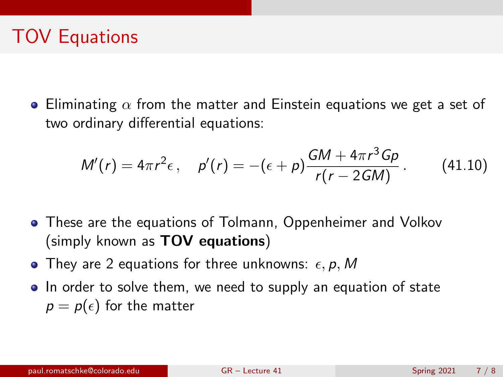# TOV Equations

**• Eliminating**  $\alpha$  **from the matter and Einstein equations we get a set of** two ordinary differential equations:

$$
M'(r) = 4\pi r^2 \epsilon, \quad p'(r) = -(\epsilon + p) \frac{GM + 4\pi r^3 G \rho}{r(r - 2GM)}.
$$
 (41.10)

- These are the equations of Tolmann, Oppenheimer and Volkov (simply known as TOV equations)
- They are 2 equations for three unknowns:  $\epsilon$ , p, M
- In order to solve them, we need to supply an equation of state  $p = p(\epsilon)$  for the matter